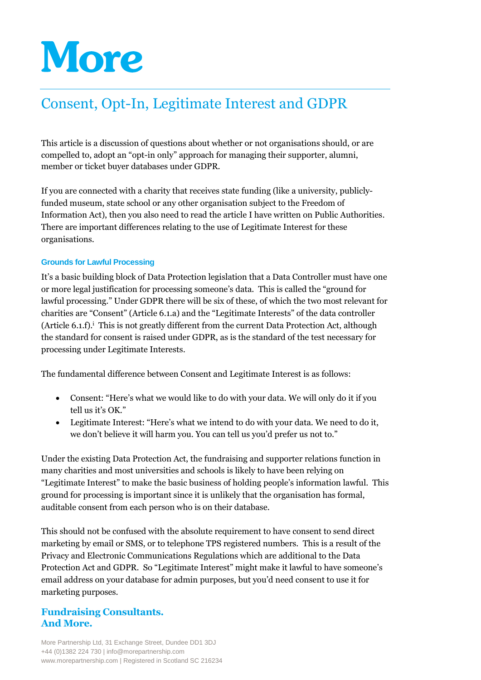# More

## Consent, Opt-In, Legitimate Interest and GDPR

This article is a discussion of questions about whether or not organisations should, or are compelled to, adopt an "opt-in only" approach for managing their supporter, alumni, member or ticket buyer databases under GDPR.

If you are connected with a charity that receives state funding (like a university, publiclyfunded museum, state school or any other organisation subject to the Freedom of Information Act), then you also need to read the article I have written on Public Authorities. There are important differences relating to the use of Legitimate Interest for these organisations.

#### **Grounds for Lawful Processing**

It's a basic building block of Data Protection legislation that a Data Controller must have one or more legal justification for processing someone's data. This is called the "ground for lawful processing." Under GDPR there will be six of these, of which the two most relevant for charities are "Consent" (Article 6.1.a) and the "Legitimate Interests" of the data controller (Article 6.1.f).<sup> $\mathbf{i}$ </sup> This is not greatly different from the current Data Protection Act, although the standard for consent is raised under GDPR, as is the standard of the test necessary for processing under Legitimate Interests.

The fundamental difference between Consent and Legitimate Interest is as follows:

- Consent: "Here's what we would like to do with your data. We will only do it if you tell us it's OK."
- Legitimate Interest: "Here's what we intend to do with your data. We need to do it, we don't believe it will harm you. You can tell us you'd prefer us not to."

Under the existing Data Protection Act, the fundraising and supporter relations function in many charities and most universities and schools is likely to have been relying on "Legitimate Interest" to make the basic business of holding people's information lawful. This ground for processing is important since it is unlikely that the organisation has formal, auditable consent from each person who is on their database.

This should not be confused with the absolute requirement to have consent to send direct marketing by email or SMS, or to telephone TPS registered numbers. This is a result of the Privacy and Electronic Communications Regulations which are additional to the Data Protection Act and GDPR. So "Legitimate Interest" might make it lawful to have someone's email address on your database for admin purposes, but you'd need consent to use it for marketing purposes.

### **Fundraising Consultants. And More.**

More Partnership Ltd, 31 Exchange Street, Dundee DD1 3DJ +44 (0)1382 224 730 | info@morepartnership.com www.morepartnership.com | Registered in Scotland SC 216234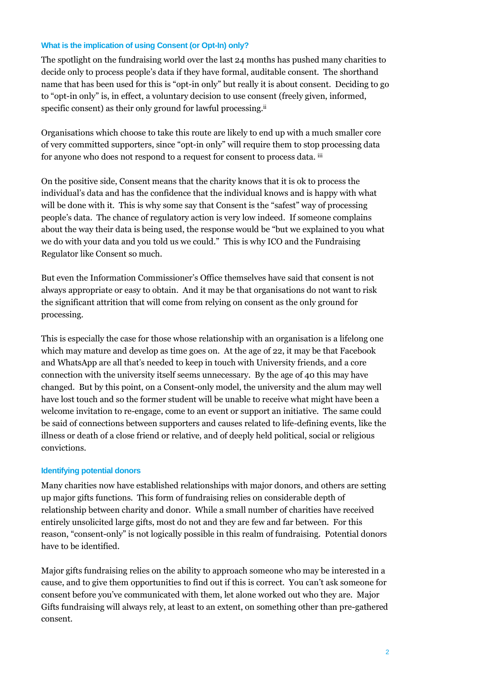#### **What is the implication of using Consent (or Opt-In) only?**

The spotlight on the fundraising world over the last 24 months has pushed many charities to decide only to process people's data if they have formal, auditable consent. The shorthand name that has been used for this is "opt-in only" but really it is about consent. Deciding to go to "opt-in only" is, in effect, a voluntary decision to use consent (freely given, informed, specific consent) as their only ground for lawful processing.<sup>ii</sup>

Organisations which choose to take this route are likely to end up with a much smaller core of very committed supporters, since "opt-in only" will require them to stop processing data for anyone who does not respond to a request for consent to process data. iii

On the positive side, Consent means that the charity knows that it is ok to process the individual's data and has the confidence that the individual knows and is happy with what will be done with it. This is why some say that Consent is the "safest" way of processing people's data. The chance of regulatory action is very low indeed. If someone complains about the way their data is being used, the response would be "but we explained to you what we do with your data and you told us we could." This is why ICO and the Fundraising Regulator like Consent so much.

But even the Information Commissioner's Office themselves have said that consent is not always appropriate or easy to obtain. And it may be that organisations do not want to risk the significant attrition that will come from relying on consent as the only ground for processing.

This is especially the case for those whose relationship with an organisation is a lifelong one which may mature and develop as time goes on. At the age of 22, it may be that Facebook and WhatsApp are all that's needed to keep in touch with University friends, and a core connection with the university itself seems unnecessary. By the age of 40 this may have changed. But by this point, on a Consent-only model, the university and the alum may well have lost touch and so the former student will be unable to receive what might have been a welcome invitation to re-engage, come to an event or support an initiative. The same could be said of connections between supporters and causes related to life-defining events, like the illness or death of a close friend or relative, and of deeply held political, social or religious convictions.

#### **Identifying potential donors**

Many charities now have established relationships with major donors, and others are setting up major gifts functions. This form of fundraising relies on considerable depth of relationship between charity and donor. While a small number of charities have received entirely unsolicited large gifts, most do not and they are few and far between. For this reason, "consent-only" is not logically possible in this realm of fundraising. Potential donors have to be identified.

Major gifts fundraising relies on the ability to approach someone who may be interested in a cause, and to give them opportunities to find out if this is correct. You can't ask someone for consent before you've communicated with them, let alone worked out who they are. Major Gifts fundraising will always rely, at least to an extent, on something other than pre-gathered consent.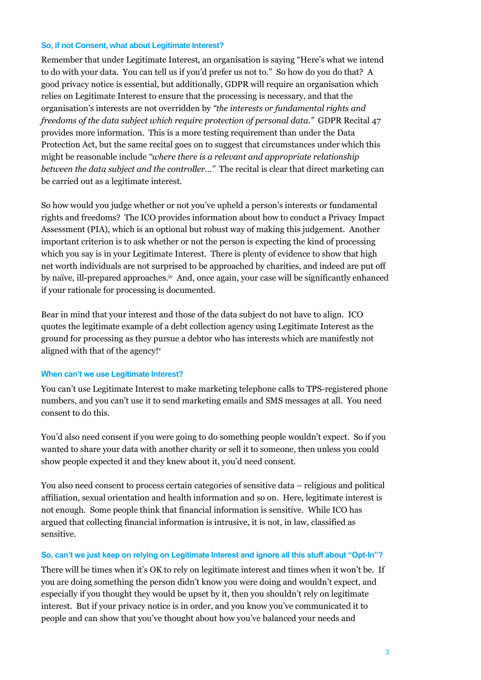#### **So, if not Consent, what about Legitimate Interest?**

Remember that under Legitimate Interest, an organisation is saying "Here's what we intend to do with your data. You can tell us if you'd prefer us not to." So how do you do that? A good privacy notice is essential, but additionally, GDPR will require an organisation which relies on Legitimate Interest to ensure that the processing is necessary, and that the organisation's interests are not overridden by *"the interests or fundamental rights and freedoms of the data subject which require protection of personal data."* GDPR Recital 47 provides more information. This is a more testing requirement than under the Data Protection Act, but the same recital goes on to suggest that circumstances under which this might be reasonable include *"where there is a relevant and appropriate relationship between the data subject and the controller…"* The recital is clear that direct marketing can be carried out as a legitimate interest.

So how would you judge whether or not you've upheld a person's interests or fundamental rights and freedoms? The ICO provides information about how to conduct a Privacy Impact Assessment (PIA), which is an optional but robust way of making this judgement. Another important criterion is to ask whether or not the person is expecting the kind of processing which you say is in your Legitimate Interest. There is plenty of evidence to show that high net worth individuals are not surprised to be approached by charities, and indeed are put off by naïve, ill-prepared approaches.<sup>iv</sup> And, once again, your case will be significantly enhanced if your rationale for processing is documented.

Bear in mind that your interest and those of the data subject do not have to align. ICO quotes the legitimate example of a debt collection agency using Legitimate Interest as the ground for processing as they pursue a debtor who has interests which are manifestly not aligned with that of the agency!<sup>v</sup>

#### **When can't we use Legitimate Interest?**

You can't use Legitimate Interest to make marketing telephone calls to TPS-registered phone numbers, and you can't use it to send marketing emails and SMS messages at all. You need consent to do this.

You'd also need consent if you were going to do something people wouldn't expect. So if you wanted to share your data with another charity or sell it to someone, then unless you could show people expected it and they knew about it, you'd need consent.

You also need consent to process certain categories of sensitive data – religious and political affiliation, sexual orientation and health information and so on. Here, legitimate interest is not enough. Some people think that financial information is sensitive. While ICO has argued that collecting financial information is intrusive, it is not, in law, classified as sensitive.

#### **So, can't we just keep on relying on Legitimate Interest and ignore all this stuff about "Opt-In"?**

There will be times when it's OK to rely on legitimate interest and times when it won't be. If you are doing something the person didn't know you were doing and wouldn't expect, and especially if you thought they would be upset by it, then you shouldn't rely on legitimate interest. But if your privacy notice is in order, and you know you've communicated it to people and can show that you've thought about how you've balanced your needs and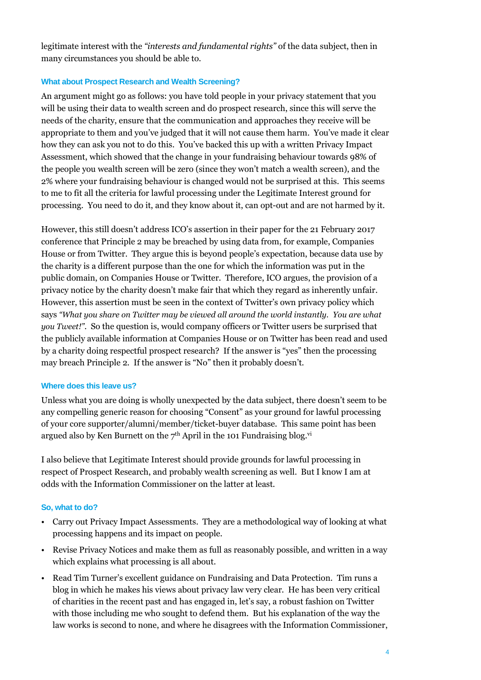legitimate interest with the *"interests and fundamental rights"* of the data subject, then in many circumstances you should be able to.

#### **What about Prospect Research and Wealth Screening?**

An argument might go as follows: you have told people in your privacy statement that you will be using their data to wealth screen and do prospect research, since this will serve the needs of the charity, ensure that the communication and approaches they receive will be appropriate to them and you've judged that it will not cause them harm. You've made it clear how they can ask you not to do this. You've backed this up with a written Privacy Impact Assessment, which showed that the change in your fundraising behaviour towards 98% of the people you wealth screen will be zero (since they won't match a wealth screen), and the 2% where your fundraising behaviour is changed would not be surprised at this. This seems to me to fit all the criteria for lawful processing under the Legitimate Interest ground for processing. You need to do it, and they know about it, can opt-out and are not harmed by it.

However, this still doesn't address ICO's assertion in their paper for the 21 February 2017 conference that Principle 2 may be breached by using data from, for example, Companies House or from Twitter. They argue this is beyond people's expectation, because data use by the charity is a different purpose than the one for which the information was put in the public domain, on Companies House or Twitter. Therefore, ICO argues, the provision of a privacy notice by the charity doesn't make fair that which they regard as inherently unfair. However, this assertion must be seen in the context of Twitter's own privacy policy which says *"What you share on Twitter may be viewed all around the world instantly. You are what you Tweet!"*. So the question is, would company officers or Twitter users be surprised that the publicly available information at Companies House or on Twitter has been read and used by a charity doing respectful prospect research? If the answer is "yes" then the processing may breach Principle 2. If the answer is "No" then it probably doesn't.

#### **Where does this leave us?**

Unless what you are doing is wholly unexpected by the data subject, there doesn't seem to be any compelling generic reason for choosing "Consent" as your ground for lawful processing of your core supporter/alumni/member/ticket-buyer database. This same point has been argued also by Ken Burnett on the  $7<sup>th</sup>$  April in the 101 Fundraising blog.<sup>vi</sup>

I also believe that Legitimate Interest should provide grounds for lawful processing in respect of Prospect Research, and probably wealth screening as well. But I know I am at odds with the Information Commissioner on the latter at least.

#### **So, what to do?**

- Carry out Privacy Impact Assessments. They are a methodological way of looking at what processing happens and its impact on people.
- Revise Privacy Notices and make them as full as reasonably possible, and written in a way which explains what processing is all about.
- Read Tim Turner's excellent guidance on Fundraising and Data Protection. Tim runs a blog in which he makes his views about privacy law very clear. He has been very critical of charities in the recent past and has engaged in, let's say, a robust fashion on Twitter with those including me who sought to defend them. But his explanation of the way the law works is second to none, and where he disagrees with the Information Commissioner,